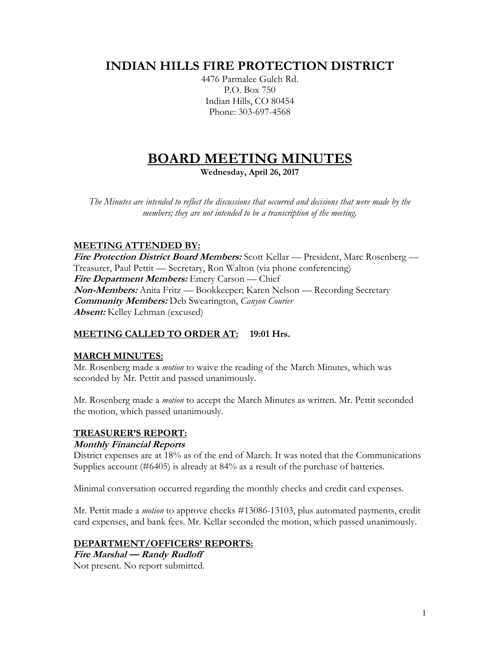# **INDIAN HILLS FIRE PROTECTION DISTRICT**

4476 Parmalee Gulch Rd. P.O. Box 750 Indian Hills, CO 80454 Phone: 303-697-4568

# **BOARD MEETING MINUTES**

**Wednesday, April 26, 2017**

*The Minutes are intended to reflect the discussions that occurred and decisions that were made by the members; they are not intended to be a transcription of the meeting.*

## **MEETING ATTENDED BY:**

**Fire Protection District Board Members:** Scott Kellar — President, Marc Rosenberg — Treasurer, Paul Pettit — Secretary, Ron Walton (via phone conferencing) **Fire Department Members:** Emery Carson — Chief **Non-Members:** Anita Fritz — Bookkeeper; Karen Nelson — Recording Secretary **Community Members:** Deb Swearington, *Canyon Courier* **Absent:** Kelley Lehman (excused)

### **MEETING CALLED TO ORDER AT: 19:01 Hrs.**

### **MARCH MINUTES:**

Mr. Rosenberg made a *motion* to waive the reading of the March Minutes, which was seconded by Mr. Pettit and passed unanimously.

Mr. Rosenberg made a *motion* to accept the March Minutes as written. Mr. Pettit seconded the motion, which passed unanimously.

### **TREASURER'S REPORT:**

### **Monthly Financial Reports**

District expenses are at 18% as of the end of March. It was noted that the Communications Supplies account (#6405) is already at 84% as a result of the purchase of batteries.

Minimal conversation occurred regarding the monthly checks and credit card expenses.

Mr. Pettit made a *motion* to approve checks #13086-13103, plus automated payments, credit card expenses, and bank fees. Mr. Kellar seconded the motion, which passed unanimously.

### **DEPARTMENT/OFFICERS' REPORTS:**

**Fire Marshal — Randy Rudloff** Not present. No report submitted.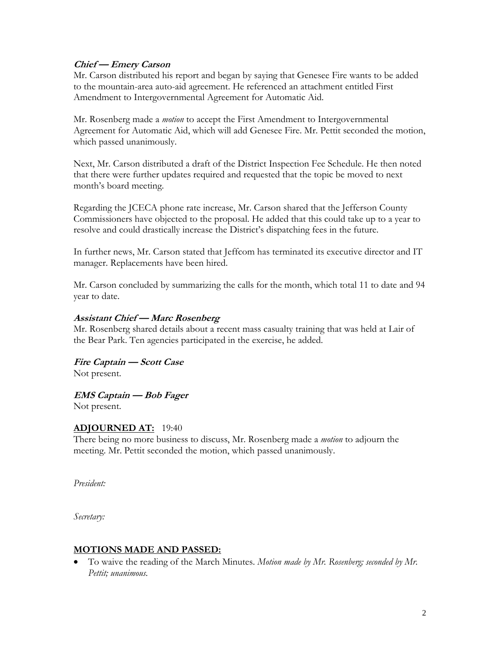#### **Chief — Emery Carson**

Mr. Carson distributed his report and began by saying that Genesee Fire wants to be added to the mountain-area auto-aid agreement. He referenced an attachment entitled First Amendment to Intergovernmental Agreement for Automatic Aid.

Mr. Rosenberg made a *motion* to accept the First Amendment to Intergovernmental Agreement for Automatic Aid, which will add Genesee Fire. Mr. Pettit seconded the motion, which passed unanimously.

Next, Mr. Carson distributed a draft of the District Inspection Fee Schedule. He then noted that there were further updates required and requested that the topic be moved to next month's board meeting.

Regarding the JCECA phone rate increase, Mr. Carson shared that the Jefferson County Commissioners have objected to the proposal. He added that this could take up to a year to resolve and could drastically increase the District's dispatching fees in the future.

In further news, Mr. Carson stated that Jeffcom has terminated its executive director and IT manager. Replacements have been hired.

Mr. Carson concluded by summarizing the calls for the month, which total 11 to date and 94 year to date.

#### **Assistant Chief — Marc Rosenberg**

Mr. Rosenberg shared details about a recent mass casualty training that was held at Lair of the Bear Park. Ten agencies participated in the exercise, he added.

**Fire Captain — Scott Case** Not present.

**EMS Captain — Bob Fager**

Not present.

### **ADJOURNED AT:** 19:40

There being no more business to discuss, Mr. Rosenberg made a *motion* to adjourn the meeting. Mr. Pettit seconded the motion, which passed unanimously.

*President:*

*Secretary:*

### **MOTIONS MADE AND PASSED:**

• To waive the reading of the March Minutes. *Motion made by Mr. Rosenberg; seconded by Mr. Pettit; unanimous.*